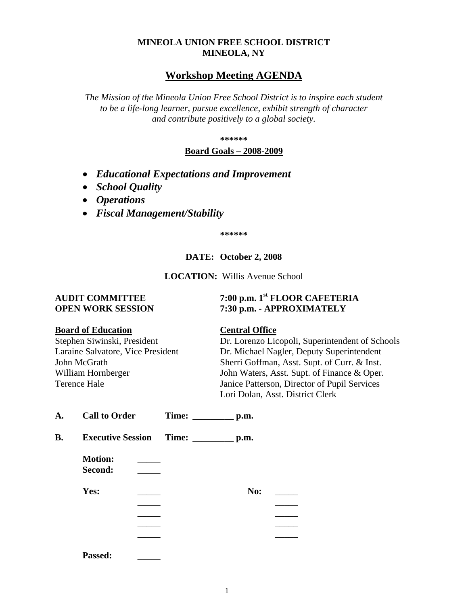# **MINEOLA UNION FREE SCHOOL DISTRICT MINEOLA, NY**

# **Workshop Meeting AGENDA**

*The Mission of the Mineola Union Free School District is to inspire each student to be a life-long learner, pursue excellence, exhibit strength of character and contribute positively to a global society.*

**\*\*\*\*\*\***

## **Board Goals – 2008-2009**

- *Educational Expectations and Improvement*
- *School Quality*
- *Operations*
- *Fiscal Management/Stability*

**\*\*\*\*\*\***

# **DATE: October 2, 2008**

**LOCATION:** Willis Avenue School

# **AUDIT COMMITTEE 7:00 p.m. 1st FLOOR CAFETERIA OPEN WORK SESSION 7:30 p.m. - APPROXIMATELY**

## **Board of Education Central Office**

Stephen Siwinski, President Dr. Lorenzo Licopoli, Superintendent of Schools Laraine Salvatore, Vice President Dr. Michael Nagler, Deputy Superintendent John McGrath Sherri Goffman, Asst. Supt. of Curr. & Inst. William Hornberger John Waters, Asst. Supt. of Finance & Oper. Terence Hale Janice Patterson, Director of Pupil Services Lori Dolan, Asst. District Clerk

| A. | <b>Call to Order</b>      |                                           |     |  |
|----|---------------------------|-------------------------------------------|-----|--|
| B. |                           | Executive Session Time: ____________ p.m. |     |  |
|    | <b>Motion:</b><br>Second: |                                           |     |  |
|    | Yes:                      |                                           | No: |  |
|    |                           |                                           |     |  |
|    |                           |                                           |     |  |
|    |                           |                                           |     |  |
|    |                           |                                           |     |  |
|    | <b>Passed:</b>            |                                           |     |  |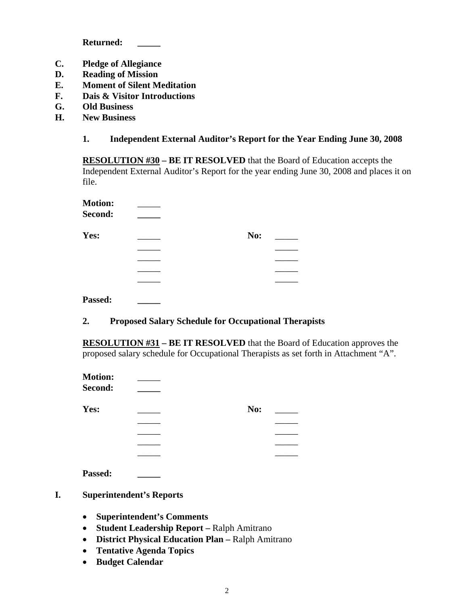**Returned: \_\_\_\_\_**

- **C. Pledge of Allegiance**
- **D. Reading of Mission**
- **E. Moment of Silent Meditation**
- **F. Dais & Visitor Introductions**
- **G. Old Business**
- **H. New Business**

# **1. Independent External Auditor's Report for the Year Ending June 30, 2008**

**RESOLUTION #30 – BE IT RESOLVED** that the Board of Education accepts the Independent External Auditor's Report for the year ending June 30, 2008 and places it on file.

| <b>Motion:</b> |     |  |
|----------------|-----|--|
| Second:        |     |  |
| Yes:           | No: |  |
|                |     |  |
|                |     |  |
|                |     |  |
|                |     |  |
|                |     |  |

**Passed: \_\_\_\_\_**

## **2. Proposed Salary Schedule for Occupational Therapists**

**RESOLUTION #31 – BE IT RESOLVED** that the Board of Education approves the proposed salary schedule for Occupational Therapists as set forth in Attachment "A".

| <b>Motion:</b><br>Second: |     |  |
|---------------------------|-----|--|
| Yes:                      | No: |  |
|                           |     |  |
|                           |     |  |
|                           |     |  |
|                           |     |  |
| Passed:                   |     |  |

- **I. Superintendent's Reports**
	- **Superintendent's Comments**
	- **Student Leadership Report –** Ralph Amitrano
	- **District Physical Education Plan –** Ralph Amitrano
	- **Tentative Agenda Topics**
	- **Budget Calendar**